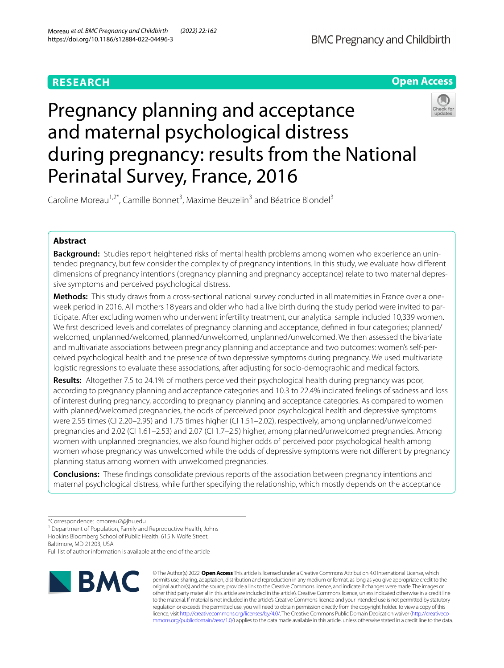# **RESEARCH**



# Pregnancy planning and acceptance and maternal psychological distress during pregnancy: results from the National Perinatal Survey, France, 2016



Caroline Moreau<sup>1,2\*</sup>, Camille Bonnet<sup>3</sup>, Maxime Beuzelin<sup>3</sup> and Béatrice Blondel<sup>3</sup>

# **Abstract**

**Background:** Studies report heightened risks of mental health problems among women who experience an unintended pregnancy, but few consider the complexity of pregnancy intentions. In this study, we evaluate how diferent dimensions of pregnancy intentions (pregnancy planning and pregnancy acceptance) relate to two maternal depressive symptoms and perceived psychological distress.

**Methods:** This study draws from a cross-sectional national survey conducted in all maternities in France over a oneweek period in 2016. All mothers 18 years and older who had a live birth during the study period were invited to participate. After excluding women who underwent infertility treatment, our analytical sample included 10,339 women. We frst described levels and correlates of pregnancy planning and acceptance, defned in four categories; planned/ welcomed, unplanned/welcomed, planned/unwelcomed, unplanned/unwelcomed. We then assessed the bivariate and multivariate associations between pregnancy planning and acceptance and two outcomes: women's self-perceived psychological health and the presence of two depressive symptoms during pregnancy. We used multivariate logistic regressions to evaluate these associations, after adjusting for socio-demographic and medical factors.

**Results:** Altogether 7.5 to 24.1% of mothers perceived their psychological health during pregnancy was poor, according to pregnancy planning and acceptance categories and 10.3 to 22.4% indicated feelings of sadness and loss of interest during pregnancy, according to pregnancy planning and acceptance categories. As compared to women with planned/welcomed pregnancies, the odds of perceived poor psychological health and depressive symptoms were 2.55 times (CI 2.20–2.95) and 1.75 times higher (CI 1.51–2.02), respectively, among unplanned/unwelcomed pregnancies and 2.02 (CI 1.61–2.53) and 2.07 (CI 1.7–2.5) higher, among planned/unwelcomed pregnancies. Among women with unplanned pregnancies, we also found higher odds of perceived poor psychological health among women whose pregnancy was unwelcomed while the odds of depressive symptoms were not diferent by pregnancy planning status among women with unwelcomed pregnancies.

**Conclusions:** These fndings consolidate previous reports of the association between pregnancy intentions and maternal psychological distress, while further specifying the relationship, which mostly depends on the acceptance

<sup>1</sup> Department of Population, Family and Reproductive Health, Johns

Baltimore, MD 21203, USA

Full list of author information is available at the end of the article



© The Author(s) 2022. **Open Access** This article is licensed under a Creative Commons Attribution 4.0 International License, which permits use, sharing, adaptation, distribution and reproduction in any medium or format, as long as you give appropriate credit to the original author(s) and the source, provide a link to the Creative Commons licence, and indicate if changes were made. The images or other third party material in this article are included in the article's Creative Commons licence, unless indicated otherwise in a credit line to the material. If material is not included in the article's Creative Commons licence and your intended use is not permitted by statutory regulation or exceeds the permitted use, you will need to obtain permission directly from the copyright holder. To view a copy of this licence, visit [http://creativecommons.org/licenses/by/4.0/.](http://creativecommons.org/licenses/by/4.0/) The Creative Commons Public Domain Dedication waiver ([http://creativeco](http://creativecommons.org/publicdomain/zero/1.0/) [mmons.org/publicdomain/zero/1.0/](http://creativecommons.org/publicdomain/zero/1.0/)) applies to the data made available in this article, unless otherwise stated in a credit line to the data.

<sup>\*</sup>Correspondence: cmoreau2@jhu.edu

Hopkins Bloomberg School of Public Health, 615 N Wolfe Street,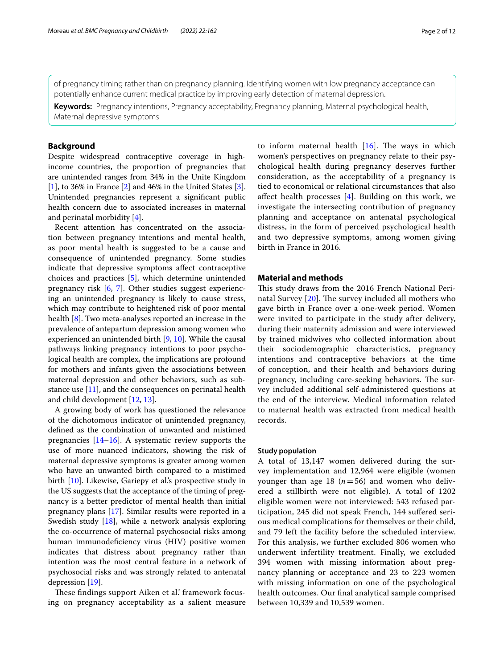of pregnancy timing rather than on pregnancy planning. Identifying women with low pregnancy acceptance can potentially enhance current medical practice by improving early detection of maternal depression.

**Keywords:** Pregnancy intentions, Pregnancy acceptability, Pregnancy planning, Maternal psychological health, Maternal depressive symptoms

# **Background**

Despite widespread contraceptive coverage in highincome countries, the proportion of pregnancies that are unintended ranges from 34% in the Unite Kingdom [[1\]](#page-10-0), to 36% in France [\[2](#page-10-1)] and 46% in the United States [\[3](#page-10-2)]. Unintended pregnancies represent a signifcant public health concern due to associated increases in maternal and perinatal morbidity [\[4\]](#page-10-3).

Recent attention has concentrated on the association between pregnancy intentions and mental health, as poor mental health is suggested to be a cause and consequence of unintended pregnancy. Some studies indicate that depressive symptoms afect contraceptive choices and practices [\[5](#page-10-4)], which determine unintended pregnancy risk [\[6](#page-10-5), [7](#page-10-6)]. Other studies suggest experiencing an unintended pregnancy is likely to cause stress, which may contribute to heightened risk of poor mental health [[8\]](#page-10-7). Two meta-analyses reported an increase in the prevalence of antepartum depression among women who experienced an unintended birth [[9,](#page-10-8) [10](#page-10-9)]. While the causal pathways linking pregnancy intentions to poor psychological health are complex, the implications are profound for mothers and infants given the associations between maternal depression and other behaviors, such as substance use [\[11\]](#page-10-10), and the consequences on perinatal health and child development [\[12](#page-10-11), [13\]](#page-10-12).

A growing body of work has questioned the relevance of the dichotomous indicator of unintended pregnancy, defned as the combination of unwanted and mistimed pregnancies [\[14–](#page-10-13)[16\]](#page-10-14). A systematic review supports the use of more nuanced indicators, showing the risk of maternal depressive symptoms is greater among women who have an unwanted birth compared to a mistimed birth [\[10](#page-10-9)]. Likewise, Gariepy et al's prospective study in the US suggests that the acceptance of the timing of pregnancy is a better predictor of mental health than initial pregnancy plans [\[17\]](#page-10-15). Similar results were reported in a Swedish study [[18\]](#page-10-16), while a network analysis exploring the co-occurrence of maternal psychosocial risks among human immunodefciency virus (HIV) positive women indicates that distress about pregnancy rather than intention was the most central feature in a network of psychosocial risks and was strongly related to antenatal depression [\[19](#page-10-17)].

These findings support Aiken et al.' framework focusing on pregnancy acceptability as a salient measure to inform maternal health  $[16]$ . The ways in which women's perspectives on pregnancy relate to their psychological health during pregnancy deserves further consideration, as the acceptability of a pregnancy is tied to economical or relational circumstances that also afect health processes [[4](#page-10-3)]. Building on this work, we investigate the intersecting contribution of pregnancy planning and acceptance on antenatal psychological distress, in the form of perceived psychological health and two depressive symptoms, among women giving birth in France in 2016.

## **Material and methods**

This study draws from the 2016 French National Perinatal Survey  $[20]$  $[20]$ . The survey included all mothers who gave birth in France over a one-week period. Women were invited to participate in the study after delivery, during their maternity admission and were interviewed by trained midwives who collected information about their sociodemographic characteristics, pregnancy intentions and contraceptive behaviors at the time of conception, and their health and behaviors during pregnancy, including care-seeking behaviors. The survey included additional self-administered questions at the end of the interview. Medical information related to maternal health was extracted from medical health records.

# **Study population**

A total of 13,147 women delivered during the survey implementation and 12,964 were eligible (women younger than age 18  $(n=56)$  and women who delivered a stillbirth were not eligible). A total of 1202 eligible women were not interviewed: 543 refused participation, 245 did not speak French, 144 sufered serious medical complications for themselves or their child, and 79 left the facility before the scheduled interview. For this analysis, we further excluded 806 women who underwent infertility treatment. Finally, we excluded 394 women with missing information about pregnancy planning or acceptance and 23 to 223 women with missing information on one of the psychological health outcomes. Our fnal analytical sample comprised between 10,339 and 10,539 women.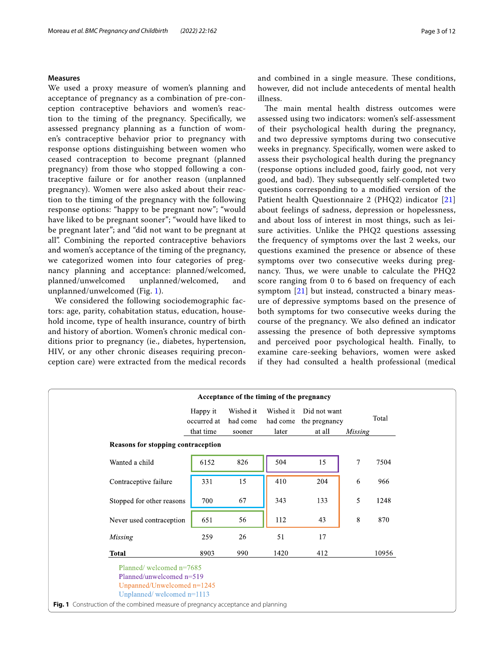# **Measures**

We used a proxy measure of women's planning and acceptance of pregnancy as a combination of pre-conception contraceptive behaviors and women's reaction to the timing of the pregnancy. Specifcally, we assessed pregnancy planning as a function of women's contraceptive behavior prior to pregnancy with response options distinguishing between women who ceased contraception to become pregnant (planned pregnancy) from those who stopped following a contraceptive failure or for another reason (unplanned pregnancy). Women were also asked about their reaction to the timing of the pregnancy with the following response options: "happy to be pregnant now"; "would have liked to be pregnant sooner"; "would have liked to be pregnant later"; and "did not want to be pregnant at all". Combining the reported contraceptive behaviors and women's acceptance of the timing of the pregnancy, we categorized women into four categories of pregnancy planning and acceptance: planned/welcomed, planned/unwelcomed unplanned/welcomed, and unplanned/unwelcomed (Fig. [1\)](#page-2-0).

We considered the following sociodemographic factors: age, parity, cohabitation status, education, household income, type of health insurance, country of birth and history of abortion. Women's chronic medical conditions prior to pregnancy (ie., diabetes, hypertension, HIV, or any other chronic diseases requiring preconception care) were extracted from the medical records and combined in a single measure. These conditions, however, did not include antecedents of mental health illness.

The main mental health distress outcomes were assessed using two indicators: women's self-assessment of their psychological health during the pregnancy, and two depressive symptoms during two consecutive weeks in pregnancy. Specifcally, women were asked to assess their psychological health during the pregnancy (response options included good, fairly good, not very good, and bad). They subsequently self-completed two questions corresponding to a modifed version of the Patient health Questionnaire 2 (PHQ2) indicator [\[21](#page-10-19)] about feelings of sadness, depression or hopelessness, and about loss of interest in most things, such as leisure activities. Unlike the PHQ2 questions assessing the frequency of symptoms over the last 2 weeks, our questions examined the presence or absence of these symptoms over two consecutive weeks during pregnancy. Thus, we were unable to calculate the  $PHQ2$ score ranging from 0 to 6 based on frequency of each symptom [[21\]](#page-10-19) but instead, constructed a binary measure of depressive symptoms based on the presence of both symptoms for two consecutive weeks during the course of the pregnancy. We also defned an indicator assessing the presence of both depressive symptoms and perceived poor psychological health. Finally, to examine care-seeking behaviors, women were asked if they had consulted a health professional (medical

<span id="page-2-0"></span>

|                                                                                                                                                                                                    |                         | Acceptance of the timing of the pregnancy |           |                                        |                |       |
|----------------------------------------------------------------------------------------------------------------------------------------------------------------------------------------------------|-------------------------|-------------------------------------------|-----------|----------------------------------------|----------------|-------|
|                                                                                                                                                                                                    | Happy it<br>occurred at | Wished it<br>had come                     | Wished it | Did not want<br>had come the pregnancy |                | Total |
|                                                                                                                                                                                                    | that time               | sooner                                    | later     | at all                                 | Missing        |       |
| Reasons for stopping contraception                                                                                                                                                                 |                         |                                           |           |                                        |                |       |
| Wanted a child                                                                                                                                                                                     | 6152                    | 826                                       | 504       | 15                                     | $\overline{7}$ | 7504  |
| Contraceptive failure                                                                                                                                                                              | 331                     | 15                                        | 410       | 204                                    | 6              | 966   |
| Stopped for other reasons                                                                                                                                                                          | 700                     | 67                                        | 343       | 133                                    | 5              | 1248  |
| Never used contraception                                                                                                                                                                           | 651                     | 56                                        | 112       | 43                                     | 8              | 870   |
| Missing                                                                                                                                                                                            | 259                     | 26                                        | 51        | 17                                     |                |       |
| <b>Total</b>                                                                                                                                                                                       | 8903                    | 990                                       | 1420      | 412                                    |                | 10956 |
| Planned/welcomed n=7685<br>Planned/unwelcomed n=519<br>Unpanned/Unwelcomed n=1245<br>Unplanned/welcomed n=1113<br>Fig. 1 Construction of the combined measure of pregnancy acceptance and planning |                         |                                           |           |                                        |                |       |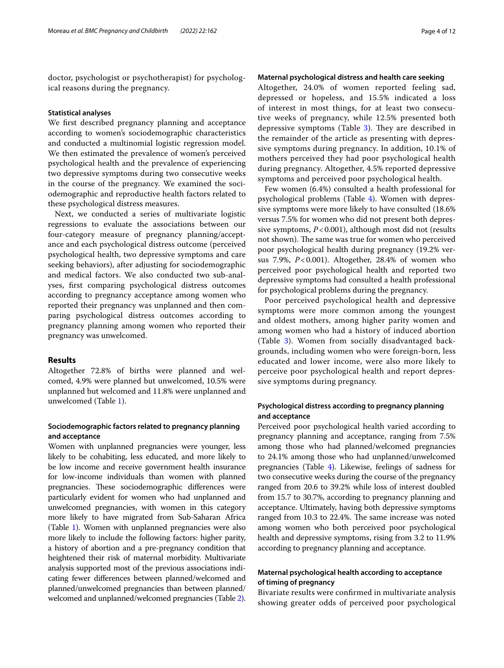doctor, psychologist or psychotherapist) for psychological reasons during the pregnancy.

#### **Statistical analyses**

We frst described pregnancy planning and acceptance according to women's sociodemographic characteristics and conducted a multinomial logistic regression model. We then estimated the prevalence of women's perceived psychological health and the prevalence of experiencing two depressive symptoms during two consecutive weeks in the course of the pregnancy. We examined the sociodemographic and reproductive health factors related to these psychological distress measures.

Next, we conducted a series of multivariate logistic regressions to evaluate the associations between our four-category measure of pregnancy planning/acceptance and each psychological distress outcome (perceived psychological health, two depressive symptoms and care seeking behaviors), after adjusting for sociodemographic and medical factors. We also conducted two sub-analyses, frst comparing psychological distress outcomes according to pregnancy acceptance among women who reported their pregnancy was unplanned and then comparing psychological distress outcomes according to pregnancy planning among women who reported their pregnancy was unwelcomed.

# **Results**

Altogether 72.8% of births were planned and welcomed, 4.9% were planned but unwelcomed, 10.5% were unplanned but welcomed and 11.8% were unplanned and unwelcomed (Table [1\)](#page-4-0).

# **Sociodemographic factors related to pregnancy planning and acceptance**

Women with unplanned pregnancies were younger, less likely to be cohabiting, less educated, and more likely to be low income and receive government health insurance for low-income individuals than women with planned pregnancies. These sociodemographic differences were particularly evident for women who had unplanned and unwelcomed pregnancies, with women in this category more likely to have migrated from Sub-Saharan Africa (Table [1\)](#page-4-0). Women with unplanned pregnancies were also more likely to include the following factors: higher parity, a history of abortion and a pre-pregnancy condition that heightened their risk of maternal morbidity. Multivariate analysis supported most of the previous associations indicating fewer diferences between planned/welcomed and planned/unwelcomed pregnancies than between planned/ welcomed and unplanned/welcomed pregnancies (Table [2](#page-5-0)).

# **Maternal psychological distress and health care seeking**

Altogether, 24.0% of women reported feeling sad, depressed or hopeless, and 15.5% indicated a loss of interest in most things, for at least two consecutive weeks of pregnancy, while 12.5% presented both depressive symptoms (Table [3\)](#page-6-0). They are described in the remainder of the article as presenting with depressive symptoms during pregnancy. In addition, 10.1% of mothers perceived they had poor psychological health during pregnancy. Altogether, 4.5% reported depressive symptoms and perceived poor psychological health.

Few women (6.4%) consulted a health professional for psychological problems (Table [4](#page-8-0)). Women with depressive symptoms were more likely to have consulted (18.6% versus 7.5% for women who did not present both depressive symptoms, *P*<0.001), although most did not (results not shown). The same was true for women who perceived poor psychological health during pregnancy (19.2% versus 7.9%, *P*<0.001). Altogether, 28.4% of women who perceived poor psychological health and reported two depressive symptoms had consulted a health professional for psychological problems during the pregnancy.

Poor perceived psychological health and depressive symptoms were more common among the youngest and oldest mothers, among higher parity women and among women who had a history of induced abortion (Table [3\)](#page-6-0). Women from socially disadvantaged backgrounds, including women who were foreign-born, less educated and lower income, were also more likely to perceive poor psychological health and report depressive symptoms during pregnancy.

# **Psychological distress according to pregnancy planning and acceptance**

Perceived poor psychological health varied according to pregnancy planning and acceptance, ranging from 7.5% among those who had planned/welcomed pregnancies to 24.1% among those who had unplanned/unwelcomed pregnancies (Table [4](#page-8-0)). Likewise, feelings of sadness for two consecutive weeks during the course of the pregnancy ranged from 20.6 to 39.2% while loss of interest doubled from 15.7 to 30.7%, according to pregnancy planning and acceptance. Ultimately, having both depressive symptoms ranged from 10.3 to 22.4%. The same increase was noted among women who both perceived poor psychological health and depressive symptoms, rising from 3.2 to 11.9% according to pregnancy planning and acceptance.

# **Maternal psychological health according to acceptance of timing of pregnancy**

Bivariate results were confrmed in multivariate analysis showing greater odds of perceived poor psychological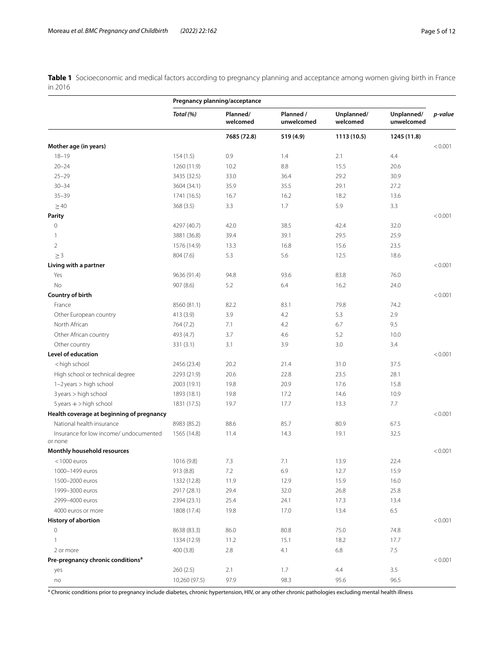<span id="page-4-0"></span>**Table 1** Socioeconomic and medical factors according to pregnancy planning and acceptance among women giving birth in France in 2016

|                                                                                                                 |               | Pregnancy planning/acceptance |                         |                        |                          |         |
|-----------------------------------------------------------------------------------------------------------------|---------------|-------------------------------|-------------------------|------------------------|--------------------------|---------|
|                                                                                                                 | Total (%)     | Planned/<br>welcomed          | Planned /<br>unwelcomed | Unplanned/<br>welcomed | Unplanned/<br>unwelcomed | p-value |
|                                                                                                                 |               | 7685 (72.8)                   | 519 (4.9)               | 1113 (10.5)            | 1245 (11.8)              |         |
| Mother age (in years)                                                                                           |               |                               |                         |                        |                          | < 0.001 |
| $18 - 19$                                                                                                       | 154(1.5)      | 0.9                           | 1.4                     | 2.1                    | 4.4                      |         |
| $20 - 24$                                                                                                       | 1260 (11.9)   | 10.2                          | 8.8                     | 15.5                   | 20.6                     |         |
| $25 - 29$                                                                                                       | 3435 (32.5)   | 33.0                          | 36.4                    | 29.2                   | 30.9                     |         |
| $30 - 34$                                                                                                       | 3604 (34.1)   | 35.9                          | 35.5                    | 29.1                   | 27.2                     |         |
| $35 - 39$                                                                                                       | 1741 (16.5)   | 16.7                          | 16.2                    | 18.2                   | 13.6                     |         |
| $\geq 40$                                                                                                       | 368(3.5)      | 3.3                           | 1.7                     | 5.9                    | 3.3                      |         |
| Parity                                                                                                          |               |                               |                         |                        |                          | < 0.001 |
| $\mathbb O$                                                                                                     | 4297 (40.7)   | 42.0                          | 38.5                    | 42.4                   | 32.0                     |         |
| 1                                                                                                               | 3881 (36.8)   | 39.4                          | 39.1                    | 29.5                   | 25.9                     |         |
| $\overline{2}$                                                                                                  | 1576 (14.9)   | 13.3                          | 16.8                    | 15.6                   | 23.5                     |         |
| $\geq$ 3                                                                                                        | 804 (7.6)     | 5.3                           | 5.6                     | 12.5                   | 18.6                     |         |
| Living with a partner                                                                                           |               |                               |                         |                        |                          | < 0.001 |
| Yes                                                                                                             | 9636 (91.4)   | 94.8                          | 93.6                    | 83.8                   | 76.0                     |         |
| No                                                                                                              | 907 (8.6)     | 5.2                           | 6.4                     | 16.2                   | 24.0                     |         |
| Country of birth                                                                                                |               |                               |                         |                        |                          | < 0.001 |
| France                                                                                                          | 8560 (81.1)   | 82.2                          | 83.1                    | 79.8                   | 74.2                     |         |
| Other European country                                                                                          | 413 (3.9)     | 3.9                           | 4.2                     | 5.3                    | 2.9                      |         |
| North African                                                                                                   | 764 (7.2)     | 7.1                           | 4.2                     | 6.7                    | 9.5                      |         |
| Other African country                                                                                           | 493 (4.7)     | 3.7                           | 4.6                     | 5.2                    | 10.0                     |         |
| Other country                                                                                                   | 331 (3.1)     | 3.1                           | 3.9                     | 3.0                    | 3.4                      |         |
| Level of education                                                                                              |               |                               |                         |                        |                          | < 0.001 |
| <high school<="" td=""><td>2456 (23.4)</td><td>20.2</td><td>21.4</td><td>31.0</td><td>37.5</td><td></td></high> | 2456 (23.4)   | 20.2                          | 21.4                    | 31.0                   | 37.5                     |         |
| High school or technical degree                                                                                 | 2293 (21.9)   | 20.6                          | 22.8                    | 23.5                   | 28.1                     |         |
| 1-2 years > high school                                                                                         | 2003 (19.1)   | 19.8                          | 20.9                    | 17.6                   | 15.8                     |         |
| 3 years > high school                                                                                           | 1893 (18.1)   | 19.8                          | 17.2                    | 14.6                   | 10.9                     |         |
| $5$ years $+$ > high school                                                                                     | 1831 (17.5)   | 19.7                          | 17.7                    | 13.3                   | 7.7                      |         |
| Health coverage at beginning of pregnancy                                                                       |               |                               |                         |                        |                          | < 0.001 |
| National health insurance                                                                                       | 8983 (85.2)   | 88.6                          | 85.7                    | 80.9                   | 67.5                     |         |
| Insurance for low income/ undocumented                                                                          | 1565 (14.8)   | 11.4                          | 14.3                    | 19.1                   | 32.5                     |         |
| or none                                                                                                         |               |                               |                         |                        |                          |         |
| Monthly household resources                                                                                     |               |                               |                         |                        |                          | < 0.001 |
| $<$ 1000 euros                                                                                                  | 1016 (9.8)    | 7.3                           | 7.1                     | 13.9                   | 22.4                     |         |
| 1000-1499 euros                                                                                                 | 913 (8.8)     | 7.2                           | 6.9                     | 12.7                   | 15.9                     |         |
| 1500-2000 euros                                                                                                 | 1332 (12.8)   | 11.9                          | 12.9                    | 15.9                   | 16.0                     |         |
| 1999-3000 euros                                                                                                 | 2917 (28.1)   | 29.4                          | 32.0                    | 26.8                   | 25.8                     |         |
| 2999-4000 euros                                                                                                 | 2394 (23.1)   | 25.4                          | 24.1                    | 17.3                   | 13.4                     |         |
| 4000 euros or more                                                                                              | 1808 (17.4)   | 19.8                          | 17.0                    | 13.4                   | 6.5                      |         |
| <b>History of abortion</b>                                                                                      |               |                               |                         |                        |                          | < 0.001 |
| $\mathbf 0$                                                                                                     | 8638 (83.3)   | 86.0                          | 80.8                    | 75.0                   | 74.8                     |         |
| $\mathbf{1}$                                                                                                    | 1334 (12.9)   | 11.2                          | 15.1                    | 18.2                   | 17.7                     |         |
| 2 or more                                                                                                       | 400 (3.8)     | 2.8                           | 4.1                     | 6.8                    | 7.5                      |         |
| Pre-pregnancy chronic conditions <sup>a</sup>                                                                   |               |                               |                         |                        |                          | < 0.001 |
| yes                                                                                                             | 260 (2.5)     | 2.1                           | 1.7                     | 4.4                    | 3.5                      |         |
| no                                                                                                              | 10,260 (97.5) | 97.9                          | 98.3                    | 95.6                   | 96.5                     |         |

<sup>a</sup> Chronic conditions prior to pregnancy include diabetes, chronic hypertension, HIV, or any other chronic pathologies excluding mental health illness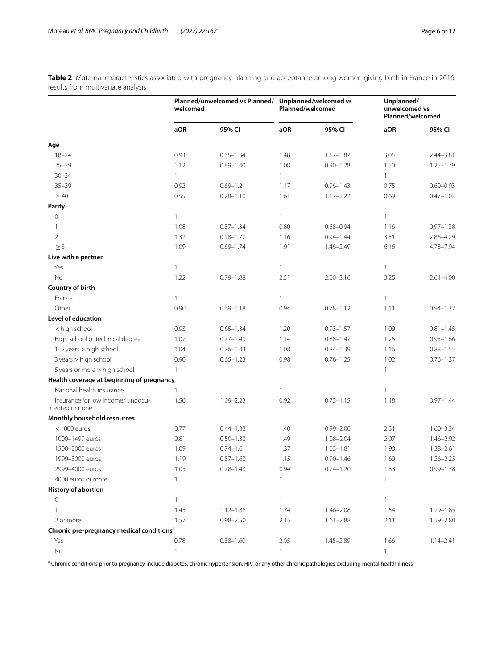<span id="page-5-0"></span>**Table 2** Maternal characteristics associated with pregnancy planning and acceptance among women giving birth in France in 2016: results from multivariate analysis

|                                                                                                                                                                          | welcomed     | Planned/unwelcomed vs Planned/ |              | Unplanned/welcomed vs<br>Planned/welcomed | Unplanned/<br>unwelcomed vs | Planned/welcomed |
|--------------------------------------------------------------------------------------------------------------------------------------------------------------------------|--------------|--------------------------------|--------------|-------------------------------------------|-----------------------------|------------------|
|                                                                                                                                                                          | aOR          | 95% CI                         | aOR          | 95% CI                                    | aOR                         | 95% CI           |
| Age                                                                                                                                                                      |              |                                |              |                                           |                             |                  |
| $18 - 24$                                                                                                                                                                | 0.93         | $0.65 - 1.34$                  | 1.48         | $1.17 - 1.87$                             | 3.05                        | $2.44 - 3.81$    |
| $25 - 29$                                                                                                                                                                | 1.12         | $0.89 - 1.40$                  | 1.08         | $0.90 - 1.28$                             | 1.50                        | $1.25 - 1.79$    |
| $30 - 34$                                                                                                                                                                | $\mathbf{1}$ |                                | $\mathbf{1}$ |                                           | $\mathbf{1}$                |                  |
| $35 - 39$                                                                                                                                                                | 0.92         | $0.69 - 1.21$                  | 1.17         | $0.96 - 1.43$                             | 0.75                        | $0.60 - 0.93$    |
| $\geq 40$                                                                                                                                                                | 0.55         | $0.28 - 1.10$                  | 1.61         | $1.17 - 2.22$                             | 0.69                        | $0.47 - 1.02$    |
| Parity                                                                                                                                                                   |              |                                |              |                                           |                             |                  |
| $\overline{0}$                                                                                                                                                           | 1            |                                | $\mathbf{1}$ |                                           | 1                           |                  |
| 1                                                                                                                                                                        | 1.08         | $0.87 - 1.34$                  | 0.80         | $0.68 - 0.94$                             | 1.16                        | $0.97 - 1.38$    |
| $\overline{2}$                                                                                                                                                           | 1.32         | $0.98 - 1.77$                  | 1.16         | $0.94 - 1.44$                             | 3.51                        | $2.86 - 4.29$    |
| $\geq$ 3                                                                                                                                                                 | 1.09         | $0.69 - 1.74$                  | 1.91         | $1.46 - 2.49$                             | 6.16                        | 4.78-7.94        |
| Live with a partner                                                                                                                                                      |              |                                |              |                                           |                             |                  |
| Yes                                                                                                                                                                      | 1            |                                | $\mathbf{1}$ |                                           | 1                           |                  |
| No                                                                                                                                                                       | 1.22         | $0.79 - 1.88$                  | 2.51         | $2.00 - 3.16$                             | 3.25                        | $2.64 - 4.00$    |
| Country of birth                                                                                                                                                         |              |                                |              |                                           |                             |                  |
| France                                                                                                                                                                   | 1            |                                | $\mathbf{1}$ |                                           | 1                           |                  |
| Other                                                                                                                                                                    | 0.90         | $0.69 - 1.18$                  | 0.94         | $0.78 - 1.12$                             | 1.11                        | $0.94 - 1.32$    |
| Level of education                                                                                                                                                       |              |                                |              |                                           |                             |                  |
| <high school<="" td=""><td>0.93</td><td><math>0.65 - 1.34</math></td><td>1.20</td><td><math>0.93 - 1.57</math></td><td>1.09</td><td><math>0.81 - 1.45</math></td></high> | 0.93         | $0.65 - 1.34$                  | 1.20         | $0.93 - 1.57$                             | 1.09                        | $0.81 - 1.45$    |
| High school or technical degree                                                                                                                                          | 1.07         | $0.77 - 1.49$                  | 1.14         | $0.88 - 1.47$                             | 1.25                        | $0.95 - 1.66$    |
| 1-2 years > high school                                                                                                                                                  | 1.04         | $0.76 - 1.43$                  | 1.08         | $0.84 - 1.39$                             | 1.16                        | $0.88 - 1.55$    |
| 3 years > high school                                                                                                                                                    | 0.90         | $0.65 - 1.23$                  | 0.98         | $0.76 - 1.25$                             | 1.02                        | $0.76 - 1.37$    |
| 5 years or more > high school                                                                                                                                            | 1            |                                | $\mathbf{1}$ |                                           | 1                           |                  |
| Health coverage at beginning of pregnancy                                                                                                                                |              |                                |              |                                           |                             |                  |
| National health insurance                                                                                                                                                | 1            |                                | $\mathbf{1}$ |                                           | 1                           |                  |
| Insurance for low income/ undocu-<br>mented or none                                                                                                                      | 1.56         | $1.09 - 2.23$                  | 0.92         | $0.73 - 1.15$                             | 1.18                        | $0.97 - 1.44$    |
| Monthly household resources                                                                                                                                              |              |                                |              |                                           |                             |                  |
| $<$ 1000 euros                                                                                                                                                           | 0.77         | $0.44 - 1.33$                  | 1.40         | $0.99 - 2.00$                             | 2.31                        | $1.60 - 3.34$    |
| 1000-1499 euros                                                                                                                                                          | 0.81         | $0.50 - 1.33$                  | 1.49         | $1.08 - 2.04$                             | 2.07                        | $1.46 - 2.92$    |
| 1500-2000 euros                                                                                                                                                          | 1.09         | $0.74 - 1.61$                  | 1.37         | $1.03 - 1.81$                             | 1.90                        | $1.38 - 2.61$    |
| 1999-3000 euros                                                                                                                                                          | 1.19         | $0.87 - 1.63$                  | 1.15         | $0.90 - 1.46$                             | 1.69                        | $1.26 - 2.25$    |
| 2999-4000 euros                                                                                                                                                          | 1.05         | $0.78 - 1.43$                  | 0.94         | $0.74 - 1.20$                             | 1.33                        | $0.99 - 1.78$    |
| 4000 euros or more                                                                                                                                                       | $\mathbb{1}$ |                                | $\mathbf{1}$ |                                           | 1                           |                  |
| <b>History of abortion</b>                                                                                                                                               |              |                                |              |                                           |                             |                  |
| $\circ$                                                                                                                                                                  | 1            |                                | $\mathbf{1}$ |                                           | 1.                          |                  |
| 1                                                                                                                                                                        | 1.45         | $1.12 - 1.88$                  | 1.74         | $1.46 - 2.08$                             | 1.54                        | 1.29-1.85        |
| 2 or more                                                                                                                                                                | 1.57         | $0.98 - 2.50$                  | 2.15         | $1.61 - 2.88$                             | 2.11                        | 1.59-2.80        |
| Chronic pre-pregnancy medical conditions <sup>a</sup>                                                                                                                    |              |                                |              |                                           |                             |                  |
| Yes                                                                                                                                                                      | 0.78         | $0.38 - 1.60$                  | 2.05         | $1.45 - 2.89$                             | 1.66                        | $1.14 - 2.41$    |
| No                                                                                                                                                                       | $\mathbf{1}$ |                                | $\mathbf{1}$ |                                           | $\mathbf{1}$                |                  |

a Chronic conditions prior to pregnancy include diabetes, chronic hypertension, HIV, or any other chronic pathologies excluding mental health illness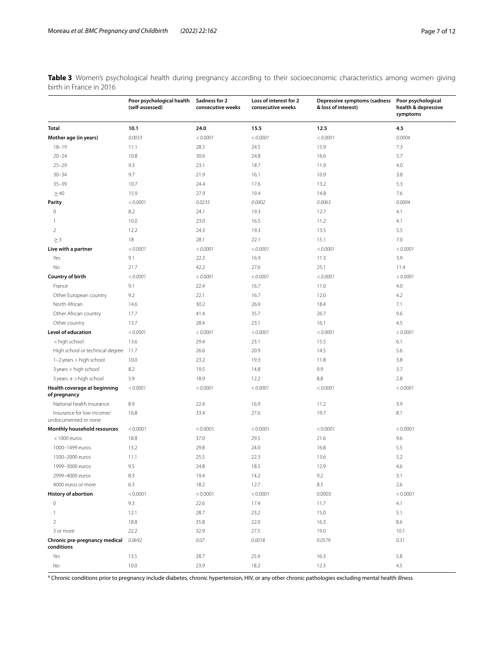<span id="page-6-0"></span>**Table 3** Women's psychological health during pregnancy according to their socioeconomic characteristics among women giving birth in France in 2016

|                                                                                                | Poor psychological health<br>(self-assessed) | Sadness for 2<br>consecutive weeks | Loss of interest for 2<br>consecutive weeks | Depressive symptoms (sadness<br>& loss of interest) | Poor psychological<br>health & depressive<br>symptoms |
|------------------------------------------------------------------------------------------------|----------------------------------------------|------------------------------------|---------------------------------------------|-----------------------------------------------------|-------------------------------------------------------|
| <b>Total</b>                                                                                   | 10.1                                         | 24.0                               | 15.5                                        | 12.5                                                | 4.5                                                   |
| Mother age (in years)                                                                          | 0.0033                                       | < 0.0001                           | < 0.0001                                    | < 0.0001                                            | 0.0004                                                |
| $18 - 19$                                                                                      | 11.1                                         | 28.5                               | 24.5                                        | 15.9                                                | 7.3                                                   |
| $20 - 24$                                                                                      | 10.8                                         | 30.6                               | 24.8                                        | 16.6                                                | 5.7                                                   |
| $25 - 29$                                                                                      | 9.3                                          | 23.1                               | 18.7                                        | 11.9                                                | 4.0                                                   |
| $30 - 34$                                                                                      | 9.7                                          | 21.9                               | 16.1                                        | 10.9                                                | 3.8                                                   |
| $35 - 39$                                                                                      | 10.7                                         | 24.4                               | 17.6                                        | 13.2                                                | 5.3                                                   |
| $\geq 40$                                                                                      | 15.9                                         | 27.9                               | 19.4                                        | 14.8                                                | 7.6                                                   |
| <b>Parity</b>                                                                                  | < 0.0001                                     | 0.0235                             | 0.0002                                      | 0.0063                                              | 0.0004                                                |
| $\mathbf 0$                                                                                    | 8.2                                          | 24.1                               | 19.3                                        | 12.7                                                | 4.1                                                   |
| 1                                                                                              | 10.0                                         | 23.0                               | 16.5                                        | 11.2                                                | 4.1                                                   |
| $\overline{2}$                                                                                 | 12.2                                         | 24.3                               | 19.3                                        | 13.5                                                | 5.5                                                   |
| $\geq$ 3                                                                                       | 18                                           | 28.1                               | 22.1                                        | 15.1                                                | 7.0                                                   |
| Live with a partner                                                                            | < 0.0001                                     | < 0.0001                           | < 0.0001                                    | < 0.0001                                            | < 0.0001                                              |
| Yes                                                                                            | 9.1                                          | 22.3                               | 16.9                                        | 11.3                                                | 3.9                                                   |
| No                                                                                             | 21.7                                         | 42.2                               | 27.6                                        | 25.1                                                | 11.4                                                  |
| Country of birth                                                                               | < 0.0001                                     | < 0.0001                           | < 0.0001                                    | < 0.0001                                            | < 0.0001                                              |
| France                                                                                         | 9.1                                          | 22.4                               | 16.7                                        | 11.0                                                | 4.0                                                   |
| Other European country                                                                         | 9.2                                          | 22.1                               | 16.7                                        | 12.0                                                | 4.2                                                   |
| North African                                                                                  | 14.6                                         | 30.2                               | 26.9                                        | 18.4                                                | 7.1                                                   |
| Other African country                                                                          | 17.7                                         | 41.4                               | 35.7                                        | 26.7                                                | 9.6                                                   |
| Other country                                                                                  | 13.7                                         | 28.4                               | 23.1                                        | 16.1                                                | 4.5                                                   |
| <b>Level of education</b>                                                                      | < 0.0001                                     | < 0.0001                           | < 0.0001                                    | < 0.0001                                            | < 0.0001                                              |
| <high school<="" td=""><td>13.6</td><td>29.4</td><td>23.1</td><td>15.5</td><td>6.1</td></high> | 13.6                                         | 29.4                               | 23.1                                        | 15.5                                                | 6.1                                                   |
| High school or technical degree                                                                | 11.7                                         | 26.6                               | 20.9                                        | 14.5                                                | 5.6                                                   |
| 1-2 years > high school                                                                        | 10.0                                         | 23.2                               | 19.3                                        | 11.8                                                | 3.8                                                   |
| 3 years > high school                                                                          | 8.2                                          | 19.5                               | 14.8                                        | 9.9                                                 | 3.7                                                   |
| $5$ years $+$ > high school                                                                    | 5.9                                          | 18.9                               | 12.2                                        | 8.8                                                 | 2.8                                                   |
| Health coverage at beginning<br>of pregnancy                                                   | < 0.0001                                     | < 0.0001                           | < 0.0001                                    | < 0.0001                                            | < 0.0001                                              |
| National health insurance                                                                      | 8.9                                          | 22.4                               | 16.9                                        | 11.2                                                | 3.9                                                   |
| Insurance for low income/<br>undocumented or none                                              | 16.8                                         | 33.4                               | 27.6                                        | 19.7                                                | 8.1                                                   |
| Monthly household resources                                                                    | < 0.0001                                     | < 0.0001                           | < 0.0001                                    | < 0.0001                                            | < 0.0001                                              |
| $<$ 1000 euros                                                                                 | 18.8                                         | 37.0                               | 29.5                                        | 21.6                                                | 9.6                                                   |
| 1000-1499 euros                                                                                | 13.2                                         | 29.8                               | 24.0                                        | 16.8                                                | 5.5                                                   |
| 1500-2000 euros                                                                                | 11.1                                         | 25.5                               | 22.3                                        | 13.6                                                | 5.2                                                   |
| 1999-3000 euros                                                                                | 9.5                                          | 24.8                               | 18.5                                        | 12.9                                                | 4.6                                                   |
| 2999-4000 euros                                                                                | 8.3                                          | 19.4                               | 14.2                                        | 9.2                                                 | 3.1                                                   |
| 4000 euros or more                                                                             | 6.3                                          | 18.2                               | 12.7                                        | 8.3                                                 | 2.6                                                   |
| <b>History of abortion</b>                                                                     | < 0.0001                                     | < 0.0001                           | < 0.0001                                    | 0.0003                                              | < 0.0001                                              |
| $\bf 0$                                                                                        | 9.3                                          | 22.6                               | 17.4                                        | 11.7                                                | 4.1                                                   |
| 1                                                                                              | 12.1                                         | 28.7                               | 23.2                                        | 15.0                                                | 5.1                                                   |
| $\overline{2}$                                                                                 | 18.8                                         | 35.8                               | 22.0                                        | 16.3                                                | 8.6                                                   |
| 3 or more                                                                                      | 22.2                                         | 32.9                               | 27.5                                        | 19.0                                                | 10.1                                                  |
| Chronic pre-pregnancy medical<br>conditions                                                    | 0.0692                                       | 0.07                               | 0.0018                                      | 0.0579                                              | 0.31                                                  |
| Yes                                                                                            | 13.5                                         | 28.7                               | 25.9                                        | 16.3                                                | 5.8                                                   |
| No                                                                                             | 10.0                                         | 23.9                               | 18.2                                        | 12.3                                                | 4.5                                                   |

<sup>a</sup> Chronic conditions prior to pregnancy include diabetes, chronic hypertension, HIV, or any other chronic pathologies excluding mental health illness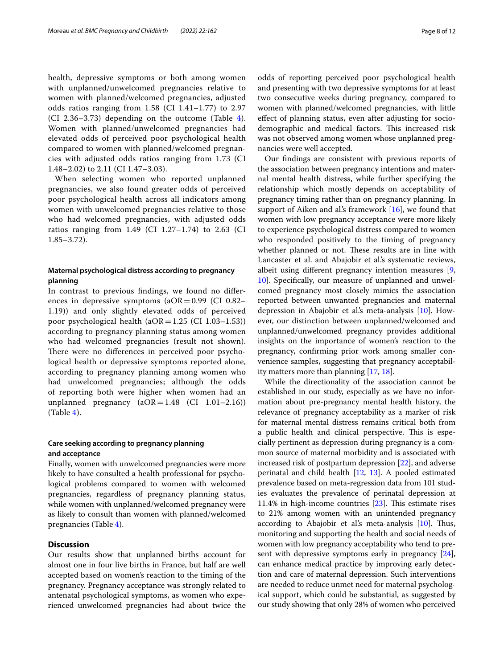health, depressive symptoms or both among women with unplanned/unwelcomed pregnancies relative to women with planned/welcomed pregnancies, adjusted odds ratios ranging from 1.58 (CI 1.41–1.77) to 2.97 (CI 2.36–3.73) depending on the outcome (Table [4\)](#page-8-0). Women with planned/unwelcomed pregnancies had elevated odds of perceived poor psychological health compared to women with planned/welcomed pregnancies with adjusted odds ratios ranging from 1.73 (CI 1.48–2.02) to 2.11 (CI 1.47–3.03).

When selecting women who reported unplanned pregnancies, we also found greater odds of perceived poor psychological health across all indicators among women with unwelcomed pregnancies relative to those who had welcomed pregnancies, with adjusted odds ratios ranging from 1.49 (CI 1.27–1.74) to 2.63 (CI 1.85–3.72).

# **Maternal psychological distress according to pregnancy planning**

In contrast to previous fndings, we found no diferences in depressive symptoms  $(aOR = 0.99)$  (CI 0.82– 1.19)) and only slightly elevated odds of perceived poor psychological health  $(aOR=1.25$  (CI 1.03-1.53)) according to pregnancy planning status among women who had welcomed pregnancies (result not shown). There were no differences in perceived poor psychological health or depressive symptoms reported alone, according to pregnancy planning among women who had unwelcomed pregnancies; although the odds of reporting both were higher when women had an unplanned pregnancy  $(aOR=1.48$  (CI 1.01-2.16)) (Table [4\)](#page-8-0).

# **Care seeking according to pregnancy planning and acceptance**

Finally, women with unwelcomed pregnancies were more likely to have consulted a health professional for psychological problems compared to women with welcomed pregnancies, regardless of pregnancy planning status, while women with unplanned/welcomed pregnancy were as likely to consult than women with planned/welcomed pregnancies (Table [4\)](#page-8-0).

# **Discussion**

Our results show that unplanned births account for almost one in four live births in France, but half are well accepted based on women's reaction to the timing of the pregnancy. Pregnancy acceptance was strongly related to antenatal psychological symptoms, as women who experienced unwelcomed pregnancies had about twice the odds of reporting perceived poor psychological health and presenting with two depressive symptoms for at least two consecutive weeks during pregnancy, compared to women with planned/welcomed pregnancies, with little efect of planning status, even after adjusting for sociodemographic and medical factors. This increased risk was not observed among women whose unplanned pregnancies were well accepted.

Our fndings are consistent with previous reports of the association between pregnancy intentions and maternal mental health distress, while further specifying the relationship which mostly depends on acceptability of pregnancy timing rather than on pregnancy planning. In support of Aiken and al's framework  $[16]$  $[16]$ , we found that women with low pregnancy acceptance were more likely to experience psychological distress compared to women who responded positively to the timing of pregnancy whether planned or not. These results are in line with Lancaster et al. and Abajobir et al.'s systematic reviews, albeit using diferent pregnancy intention measures [\[9](#page-10-8), [10\]](#page-10-9). Specifcally, our measure of unplanned and unwelcomed pregnancy most closely mimics the association reported between unwanted pregnancies and maternal depression in Abajobir et al.'s meta-analysis [\[10\]](#page-10-9). However, our distinction between unplanned/welcomed and unplanned/unwelcomed pregnancy provides additional insights on the importance of women's reaction to the pregnancy, confrming prior work among smaller convenience samples, suggesting that pregnancy acceptability matters more than planning [[17,](#page-10-15) [18](#page-10-16)].

While the directionality of the association cannot be established in our study, especially as we have no information about pre-pregnancy mental health history, the relevance of pregnancy acceptability as a marker of risk for maternal mental distress remains critical both from a public health and clinical perspective. This is especially pertinent as depression during pregnancy is a common source of maternal morbidity and is associated with increased risk of postpartum depression [\[22\]](#page-10-20), and adverse perinatal and child health [[12](#page-10-11), [13\]](#page-10-12). A pooled estimated prevalence based on meta-regression data from 101 studies evaluates the prevalence of perinatal depression at 11.4% in high-income countries  $[23]$ . This estimate rises to 21% among women with an unintended pregnancy according to Abajobir et al's meta-analysis [\[10\]](#page-10-9). Thus, monitoring and supporting the health and social needs of women with low pregnancy acceptability who tend to present with depressive symptoms early in pregnancy [\[24](#page-10-22)], can enhance medical practice by improving early detection and care of maternal depression. Such interventions are needed to reduce unmet need for maternal psychological support, which could be substantial, as suggested by our study showing that only 28% of women who perceived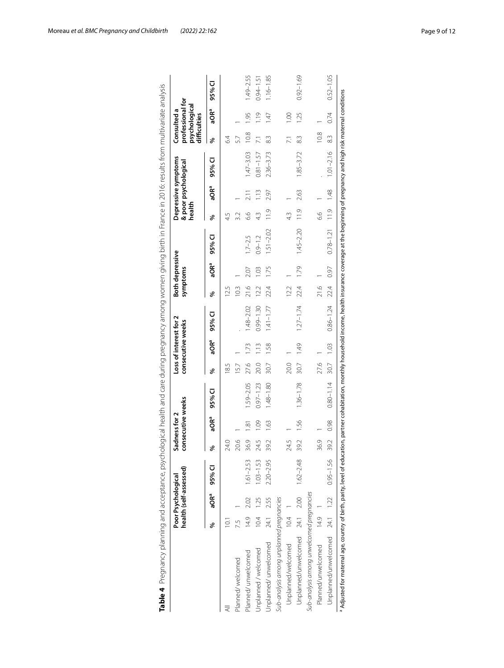<span id="page-8-0"></span>

|                                           |                | Poor Psychological | health (self-assessed)  |      | consecutive weeks<br>Sadness for 2 |               |      | Loss of interest for 2<br>consecutive weeks |               |      | Both depressive<br>symptoms |                         | health |                  | Depressive symptoms<br>& poor psychological |                | professional for<br>psychological<br>Consulted a<br>difficulties |               |
|-------------------------------------------|----------------|--------------------|-------------------------|------|------------------------------------|---------------|------|---------------------------------------------|---------------|------|-----------------------------|-------------------------|--------|------------------|---------------------------------------------|----------------|------------------------------------------------------------------|---------------|
|                                           | ℅              |                    | aOR <sup>ª</sup> 95% CI | శ    | aORª                               | 95% CI        | శ    | aORª                                        | 95% CI        | శ    | aORª                        | 95% CI                  | ৡ      | aQRª             | 95% CI                                      | వ్             | aORª                                                             | 95% CI        |
|                                           | $\overline{0}$ |                    |                         | 24.0 |                                    |               | 185  |                                             |               | 12.5 |                             |                         | 45     |                  |                                             | 64             |                                                                  |               |
| Planned/welcomed                          | 7.5            |                    |                         | 20.6 |                                    |               | 15.7 |                                             |               | 10.3 |                             |                         |        |                  |                                             | 57             |                                                                  |               |
| Planned/unwelcomed                        | 14.9           | 2.02               | $1.61 - 2.53$           | 36.9 | ā                                  | 1.59-2.05     | 27.6 | 1.73                                        | $1.48 - 2.02$ | 21.6 | 2.07                        | $1.7 - 2.5$             | 6.6    | $\overline{211}$ | $1.47 - 3.03$                               | 10.8           | 1.95                                                             | 1.49-2.55     |
| Jnplanned / welcomed                      |                | 10.4 1.25          | $1.03 - 1.53$           | 24.5 | $\frac{8}{1}$                      | $0.97 - 1.23$ | 20.0 | $\frac{3}{1}$                               | $0.99 - 1.30$ | 12.2 | C.                          | $0.9 - 1.2$             | 4.3    | $\frac{13}{1}$   | $0.81 - 1.57$                               | $\overline{2}$ | $\frac{9}{11}$                                                   | $0.94 - 1.51$ |
| Jnplanned/unwelcomed                      |                | 24.1 2.55          | $2.20 - 2.95$           | 39.2 | $\frac{63}{2}$                     | $1.48 - 1.80$ | 30.7 | 1.58                                        | $1.41 - 1.77$ | 22.4 | 1.75                        | $1.51 - 2.02$           |        | 2.97             | $2.36 - 3.73$                               | 33             | 147                                                              | $1.16 - 1.85$ |
| Sub-analysis among unplanned pregnancies  |                |                    |                         |      |                                    |               |      |                                             |               |      |                             |                         |        |                  |                                             |                |                                                                  |               |
| Unplanned/welcomed                        | 10.4           |                    |                         | 24.5 |                                    |               | 20.0 |                                             |               | 12.2 |                             |                         |        |                  |                                             | $\overline{2}$ | 001                                                              |               |
| Unplanned/unwelcomed 24.1 2.00 1.62-2.48  |                |                    |                         | 39.2 | <b>9S</b>                          | $1.36 - 1.78$ | 30.7 | 1.49                                        | $1.27 - 1.74$ | 22.4 | 1.79                        | $1.45 - 2.20$           | 11.9   | 2.63             | $1.85 - 3.72$                               | 33             | 1.25                                                             | $0.92 - 1.69$ |
| Sub-analysis among unwelcomed pregnancies |                |                    |                         |      |                                    |               |      |                                             |               |      |                             |                         |        |                  |                                             |                |                                                                  |               |
| Planned/unwelcomed                        | $14.9$ 1       |                    |                         | 36.9 |                                    |               | 27.6 |                                             |               | 21.6 |                             |                         | 99     |                  |                                             | 10.8           |                                                                  |               |
| Unplanned/unwelcomed 24.1 1.22 0.95-1.56  |                |                    |                         | 39.2 | 0.98                               | $0.80 - 1.14$ | 30.7 | 1.03                                        | $0.86 - 1.24$ | 22.4 | 0.97                        | $0.78 - 1.21$ 11.9 1.48 |        |                  | $1.01 - 2.16$                               | 83             | 0.74                                                             | $0.52 - 1.05$ |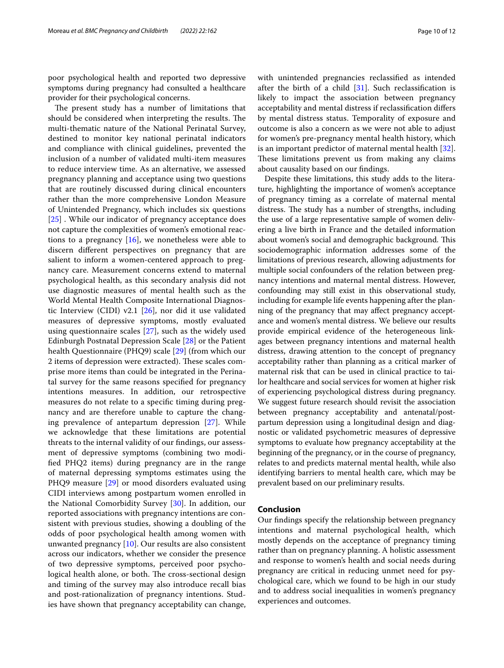poor psychological health and reported two depressive symptoms during pregnancy had consulted a healthcare provider for their psychological concerns.

The present study has a number of limitations that should be considered when interpreting the results. The multi-thematic nature of the National Perinatal Survey, destined to monitor key national perinatal indicators and compliance with clinical guidelines, prevented the inclusion of a number of validated multi-item measures to reduce interview time. As an alternative, we assessed pregnancy planning and acceptance using two questions that are routinely discussed during clinical encounters rather than the more comprehensive London Measure of Unintended Pregnancy, which includes six questions [[25\]](#page-10-23) . While our indicator of pregnancy acceptance does not capture the complexities of women's emotional reactions to a pregnancy  $[16]$  $[16]$  $[16]$ , we nonetheless were able to discern diferent perspectives on pregnancy that are salient to inform a women-centered approach to pregnancy care. Measurement concerns extend to maternal psychological health, as this secondary analysis did not use diagnostic measures of mental health such as the World Mental Health Composite International Diagnostic Interview (CIDI) v2.1 [\[26](#page-10-24)], nor did it use validated measures of depressive symptoms, mostly evaluated using questionnaire scales [\[27](#page-10-25)], such as the widely used Edinburgh Postnatal Depression Scale [[28\]](#page-11-0) or the Patient health Questionnaire (PHQ9) scale [\[29](#page-11-1)] (from which our 2 items of depression were extracted). These scales comprise more items than could be integrated in the Perinatal survey for the same reasons specifed for pregnancy intentions measures. In addition, our retrospective measures do not relate to a specifc timing during pregnancy and are therefore unable to capture the changing prevalence of antepartum depression [[27\]](#page-10-25). While we acknowledge that these limitations are potential threats to the internal validity of our fndings, our assessment of depressive symptoms (combining two modifed PHQ2 items) during pregnancy are in the range of maternal depressing symptoms estimates using the PHQ9 measure [\[29](#page-11-1)] or mood disorders evaluated using CIDI interviews among postpartum women enrolled in the National Comorbidity Survey [\[30](#page-11-2)]. In addition, our reported associations with pregnancy intentions are consistent with previous studies, showing a doubling of the odds of poor psychological health among women with unwanted pregnancy [[10\]](#page-10-9). Our results are also consistent across our indicators, whether we consider the presence of two depressive symptoms, perceived poor psychological health alone, or both. The cross-sectional design and timing of the survey may also introduce recall bias and post-rationalization of pregnancy intentions. Studies have shown that pregnancy acceptability can change, with unintended pregnancies reclassifed as intended after the birth of a child  $[31]$  $[31]$ . Such reclassification is likely to impact the association between pregnancy acceptability and mental distress if reclassifcation difers by mental distress status. Temporality of exposure and outcome is also a concern as we were not able to adjust for women's pre-pregnancy mental health history, which is an important predictor of maternal mental health [\[32](#page-11-4)]. These limitations prevent us from making any claims about causality based on our fndings.

Despite these limitations, this study adds to the literature, highlighting the importance of women's acceptance of pregnancy timing as a correlate of maternal mental distress. The study has a number of strengths, including the use of a large representative sample of women delivering a live birth in France and the detailed information about women's social and demographic background. This sociodemographic information addresses some of the limitations of previous research, allowing adjustments for multiple social confounders of the relation between pregnancy intentions and maternal mental distress. However, confounding may still exist in this observational study, including for example life events happening after the planning of the pregnancy that may afect pregnancy acceptance and women's mental distress. We believe our results provide empirical evidence of the heterogeneous linkages between pregnancy intentions and maternal health distress, drawing attention to the concept of pregnancy acceptability rather than planning as a critical marker of maternal risk that can be used in clinical practice to tailor healthcare and social services for women at higher risk of experiencing psychological distress during pregnancy. We suggest future research should revisit the association between pregnancy acceptability and antenatal/postpartum depression using a longitudinal design and diagnostic or validated psychometric measures of depressive symptoms to evaluate how pregnancy acceptability at the beginning of the pregnancy, or in the course of pregnancy, relates to and predicts maternal mental health, while also identifying barriers to mental health care, which may be prevalent based on our preliminary results.

## **Conclusion**

Our fndings specify the relationship between pregnancy intentions and maternal psychological health, which mostly depends on the acceptance of pregnancy timing rather than on pregnancy planning. A holistic assessment and response to women's health and social needs during pregnancy are critical in reducing unmet need for psychological care, which we found to be high in our study and to address social inequalities in women's pregnancy experiences and outcomes.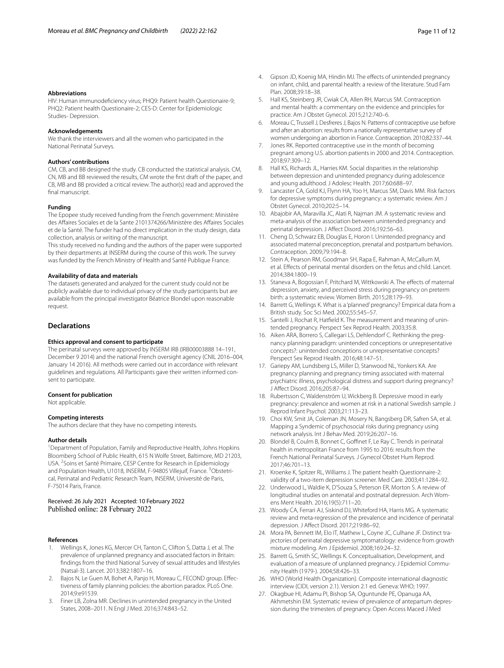#### **Abbreviations**

HIV: Human immunodefciency virus; PHQ9: Patient health Questionaire-9; PHQ2: Patient health Questionaire-2; CES-D: Center for Epidemiologic Studies- Depression.

#### **Acknowledgements**

We thank the interviewers and all the women who participated in the National Perinatal Surveys.

#### **Authors' contributions**

CM, CB, and BB designed the study. CB conducted the statistical analysis. CM, CN, MB and BB reviewed the results, CM wrote the frst draft of the paper, and CB, MB and BB provided a critical review. The author(s) read and approved the final manuscript.

# **Funding**

The Epopee study received funding from the French government: Ministère des Afaires Sociales et de la Sante 2101374266/Ministère des Afaires Sociales et de la Santé. The funder had no direct implication in the study design, data collection, analysis or writing of the manuscript.

This study received no funding and the authors of the paper were supported by their departments at INSERM during the course of this work. The survey was funded by the French Ministry of Health and Santé Publique France.

## **Availability of data and materials**

The datasets generated and analyzed for the current study could not be publicly available due to individual privacy of the study participants but are available from the principal investigator Béatrice Blondel upon reasonable request.

# **Declarations**

#### **Ethics approval and consent to participate**

The perinatal surveys were approved by INSERM IRB (IRB00003888 14–191, December 9 2014) and the national French oversight agency (CNIL 2016–004, January 14 2016). All methods were carried out in accordance with relevant guidelines and regulations. All Participants gave their written informed consent to participate.

#### **Consent for publication**

Not applicable.

#### **Competing interests**

The authors declare that they have no competing interests.

#### **Author details**

<sup>1</sup> Department of Population, Family and Reproductive Health, Johns Hopkins Bloomberg School of Public Health, 615 N Wolfe Street, Baltimore, MD 21203, USA. <sup>2</sup> Soins et Santé Primaire, CESP Centre for Research in Epidemiology and Population Health, U1018, INSERM, F-94805 Villejuif, France. <sup>3</sup>Obstetrical, Perinatal and Pediatric Research Team, INSERM, Université de Paris, F-75014 Paris, France.

## Received: 26 July 2021 Accepted: 10 February 2022 Published online: 28 February 2022

#### **References**

- <span id="page-10-0"></span>Wellings K, Jones KG, Mercer CH, Tanton C, Clifton S, Datta J, et al. The prevalence of unplanned pregnancy and associated factors in Britain: fndings from the third National Survey of sexual attitudes and lifestyles (Natsal-3). Lancet. 2013;382:1807–16.
- <span id="page-10-1"></span>2. Bajos N, Le Guen M, Bohet A, Panjo H, Moreau C, FECOND group. Efectiveness of family planning policies: the abortion paradox. PLoS One. 2014;9:e91539.
- <span id="page-10-2"></span>3. Finer LB, Zolna MR. Declines in unintended pregnancy in the United States, 2008–2011. N Engl J Med. 2016;374:843–52.
- <span id="page-10-3"></span>4. Gipson JD, Koenig MA, Hindin MJ. The effects of unintended pregnancy on infant, child, and parental health: a review of the literature. Stud Fam Plan. 2008;39:18–38.
- <span id="page-10-4"></span>5. Hall KS, Steinberg JR, Cwiak CA, Allen RH, Marcus SM. Contraception and mental health: a commentary on the evidence and principles for practice. Am J Obstet Gynecol. 2015;212:740–6.
- <span id="page-10-5"></span>6. Moreau C, Trussell J, Desfreres J, Bajos N. Patterns of contraceptive use before and after an abortion: results from a nationally representative survey of women undergoing an abortion in France. Contraception. 2010;82:337–44.
- <span id="page-10-6"></span>7. Jones RK. Reported contraceptive use in the month of becoming pregnant among U.S. abortion patients in 2000 and 2014. Contraception. 2018;97:309–12.
- <span id="page-10-7"></span>8. Hall KS, Richards JL, Harries KM. Social disparities in the relationship between depression and unintended pregnancy during adolescence and young adulthood. J Adolesc Health. 2017;60:688–97.
- <span id="page-10-8"></span>Lancaster CA, Gold KJ, Flynn HA, Yoo H, Marcus SM, Davis MM. Risk factors for depressive symptoms during pregnancy: a systematic review. Am J Obstet Gynecol. 2010;202:5–14.
- <span id="page-10-9"></span>10. Abajobir AA, Maravilla JC, Alati R, Najman JM. A systematic review and meta-analysis of the association between unintended pregnancy and perinatal depression. J Afect Disord. 2016;192:56–63.
- <span id="page-10-10"></span>11. Cheng D, Schwarz EB, Douglas E, Horon I. Unintended pregnancy and associated maternal preconception, prenatal and postpartum behaviors. Contraception. 2009;79:194–8.
- <span id="page-10-11"></span>12. Stein A, Pearson RM, Goodman SH, Rapa E, Rahman A, McCallum M, et al. Efects of perinatal mental disorders on the fetus and child. Lancet. 2014;384:1800–19.
- <span id="page-10-12"></span>13. Staneva A, Bogossian F, Pritchard M, Wittkowski A. The efects of maternal depression, anxiety, and perceived stress during pregnancy on preterm birth: a systematic review. Women Birth. 2015;28:179–93.
- <span id="page-10-13"></span>14. Barrett G, Wellings K. What is a 'planned' pregnancy? Empirical data from a British study. Soc Sci Med. 2002;55:545–57.
- 15. Santelli J, Rochat R, Hatfeld K. The measurement and meaning of unintended pregnancy. Perspect Sex Reprod Health. 2003;35:8.
- <span id="page-10-14"></span>16. Aiken ARA, Borrero S, Callegari LS, Dehlendorf C. Rethinking the pregnancy planning paradigm: unintended conceptions or unrepresentative concepts?: unintended conceptions or unrepresentative concepts? Perspect Sex Reprod Health. 2016;48:147–51.
- <span id="page-10-15"></span>17. Gariepy AM, Lundsberg LS, Miller D, Stanwood NL, Yonkers KA. Are pregnancy planning and pregnancy timing associated with maternal psychiatric illness, psychological distress and support during pregnancy? J Afect Disord. 2016;205:87–94.
- <span id="page-10-16"></span>18. Rubertsson C, Waldenström U, Wickberg B. Depressive mood in early pregnancy: prevalence and women at risk in a national Swedish sample. J Reprod Infant Psychol. 2003;21:113–23.
- <span id="page-10-17"></span>19. Choi KW, Smit JA, Coleman JN, Mosery N, Bangsberg DR, Safren SA, et al. Mapping a Syndemic of psychosocial risks during pregnancy using network analysis. Int J Behav Med. 2019;26:207–16.
- <span id="page-10-18"></span>20. Blondel B, Coulm B, Bonnet C, Goffinet F, Le Ray C. Trends in perinatal health in metropolitan France from 1995 to 2016: results from the French National Perinatal Surveys. J Gynecol Obstet Hum Reprod. 2017;46:701–13.
- <span id="page-10-19"></span>21. Kroenke K, Spitzer RL, Williams J. The patient health Questionnaire-2: validity of a two-item depression screener. Med Care. 2003;41:1284–92.
- <span id="page-10-20"></span>22. Underwood L, Waldie K, D'Souza S, Peterson ER, Morton S. A review of longitudinal studies on antenatal and postnatal depression. Arch Womens Ment Health. 2016;19(5):711–20.
- <span id="page-10-21"></span>23. Woody CA, Ferrari AJ, Siskind DJ, Whiteford HA, Harris MG. A systematic review and meta-regression of the prevalence and incidence of perinatal depression. J Afect Disord. 2017;219:86–92.
- <span id="page-10-22"></span>24. Mora PA, Bennett IM, Elo IT, Mathew L, Coyne JC, Culhane JF. Distinct trajectories of perinatal depressive symptomatology: evidence from growth mixture modeling. Am J Epidemiol. 2008;169:24–32.
- <span id="page-10-23"></span>25. Barrett G, Smith SC, Wellings K. Conceptualisation, Development, and evaluation of a measure of unplanned pregnancy. J Epidemiol Community Health (1979-). 2004;58:426–33.
- <span id="page-10-24"></span>26. WHO (World Health Organization). Composite international diagnostic interview (CIDI, version 2.1). Version 2.1 ed. Geneva: WHO; 1997.
- <span id="page-10-25"></span>27. Okagbue HI, Adamu PI, Bishop SA, Oguntunde PE, Opanuga AA, Akhmetshin EM. Systematic review of prevalence of antepartum depression during the trimesters of pregnancy. Open Access Maced J Med